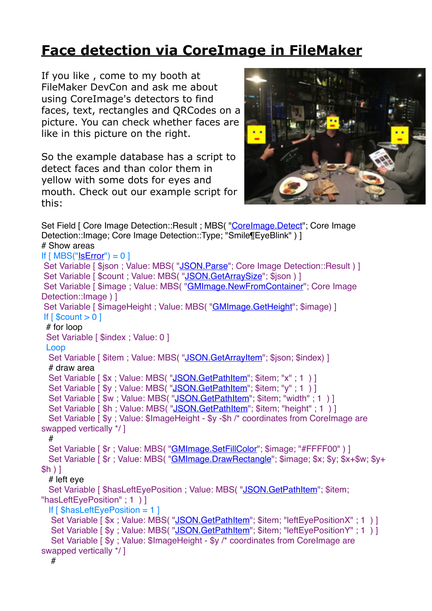## **[Face detection via CoreImage in FileMaker](https://www.mbsplugins.de/archive/2017-07-23/Face_detection_via_CoreImage_i)**

If you like , come to my booth at FileMaker DevCon and ask me about using CoreImage's detectors to find faces, text, rectangles and QRCodes on a picture. You can check whether faces are like in this picture on the right.

So the example database has a script to detect faces and than color them in yellow with some dots for eyes and mouth. Check out our example script for this:



Set Field [ Core Image Detection::Result ; MBS( ["CoreImage.Detect](http://www.mbsplugins.eu/CoreImageDetect.shtml)"; Core Image Detection::Image; Core Image Detection::Type; "Smile¶EyeBlink") ] # Show areas If  $[MBS("ISError") = 0]$ Set Variable [ \$ison : Value: MBS( ["JSON.Parse](http://www.mbsplugins.eu/JSONParse.shtml)": Core Image Detection::Result ) ] Set Variable [ \$count : Value: MBS( "[JSON.GetArraySize](http://www.mbsplugins.eu/JSONGetArraySize.shtml)": \$json ) ] Set Variable [ \$image ; Value: MBS( ["GMImage.NewFromContainer](http://www.mbsplugins.eu/GMImageNewFromContainer.shtml)"; Core Image Detection::Image ) 1 Set Variable [  $\sin a$ geHeight ; Value: MBS( "[GMImage.GetHeight"](http://www.mbsplugins.eu/GMImageGetHeight.shtml); \$image) ] If  $\lceil$  \$count  $> 0 \rceil$  # for loop Set Variable [ \$index ; Value: 0 ] Loop Set Variable [ \$item ; Value: MBS( "[JSON.GetArrayItem](http://www.mbsplugins.eu/JSONGetArrayItem.shtml)"; \$ison; \$index) ] # draw area Set Variable [\$x ; Value: MBS( ["JSON.GetPathItem"](http://www.mbsplugins.eu/JSONGetPathItem.shtml); \$item; "x" ; 1 ) ] Set Variable [\$y ; Value: MBS( ["JSON.GetPathItem"](http://www.mbsplugins.eu/JSONGetPathItem.shtml); \$item; "y" ; 1 ) ] Set Variable [\$w; Value: MBS("[JSON.GetPathItem](http://www.mbsplugins.eu/JSONGetPathItem.shtml)"; \$item; "width"; 1)] Set Variable [\$h; Value: MBS("[JSON.GetPathItem](http://www.mbsplugins.eu/JSONGetPathItem.shtml)"; \$item; "height"; 1)] Set Variable [  $y$  ; Value:  $\frac{1}{2}$ ImageHeight -  $y - \frac{1}{2}h$  /\* coordinates from Corelmage are swapped vertically \*/ ] # Set Variable [  $\text{\$r}$  ; Value: MBS( ["GMImage.SetFillColor](http://www.mbsplugins.eu/GMImageSetFillColor.shtml)"; \$image; "#FFFF00" ) ] Set Variable [\$r; Value: MBS(["GMImage.DrawRectangle](http://www.mbsplugins.eu/GMImageDrawRectangle.shtml)"; \$image; \$x; \$y; \$x+\$w; \$y+ \$h ) ] # left eye Set Variable [ \$hasLeftEyePosition ; Value: MBS( "[JSON.GetPathItem](http://www.mbsplugins.eu/JSONGetPathItem.shtml)"; \$item; "hasLeftEyePosition" ; 1 ) ] If  $\lceil$  \$hasLeftEyePosition = 1  $\rceil$ Set Variable [\$x; Value: MBS(["JSON.GetPathItem](http://www.mbsplugins.eu/JSONGetPathItem.shtml)"; \$item; "leftEyePositionX"; 1)] Set Variable [\$y ; Value: MBS( ["JSON.GetPathItem](http://www.mbsplugins.eu/JSONGetPathItem.shtml)"; \$item; "leftEyePositionY" ; 1 ) ] Set Variable [  $$y$  ; Value:  $$ImageHeight - $y$  /\* coordinates from Corelmage are swapped vertically \*/ ] #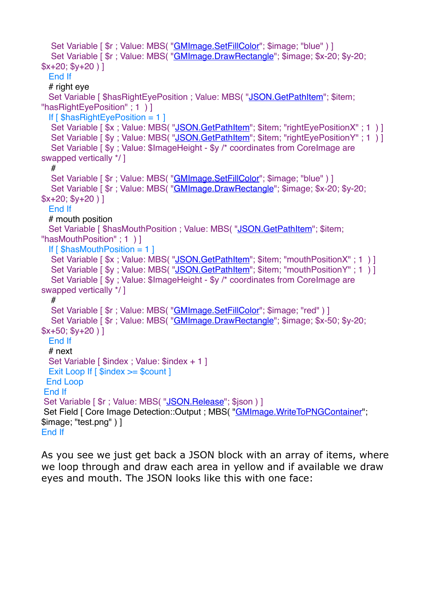```
Set Variable [ r : Value: MBS("G M Image.SetFillColor"; $image; "blue" ) ]
 "GMImage.DrawRectangle"; $image; $x-20; $y-20;
$x+20; $y+20 ) ]
  End If
 # right eve
 JSON.GetPathItem"; $item;
"hasRightEyePosition" ; 1 ) ]
 If \int $hasRightEyePosition = 1 \vertSet Variable [ sx"JSON.GetPathItem"; $item; "rightEyePositionX" ; 1 ) ]
 "JSON.GetPathItem"; $item; "rightEyePositionY"; 1)]
 Set Variable [ $v : Value: $lImageHeight - $v / * coordinates from Corelmage are
swapped vertically */ ]
  #
 "GMImage.SetFillColor"; $image; "blue" ) ]
 Set Variable [ r : Value"GMImage.DrawRectangle"; $image; $x-20; $v-20;
$x+20; $y+20] End If
  # mouth position
 "JSON.GetPathItem"; $item;
"hasMouthPosition" ; 1 ) ]
 If \lceil $hasMouthPosition = 1 \rceil"JSON.GetPathItem"; $item; "mouthPositionX" ; 1 ) ]
 "JSON.GetPathItem"; $item; "mouthPositionY" ; 1 ) ]
 Set Variable [ \$y ; Value: \$ImageHeight - \$y /* coordinates from CoreImage are
swapped vertically */ ]
  #
 "GMImage.SetFillColor"; $image; "red") ]
 Set Variable [ r"GMImage.DrawRectangle"; $image; $x-50; $y-20;
$x+50; $y+20 ) ]
  End If
  # next
 Set Variable [ $index : Value: $index + 1 ]
 Exit Loop If [ $index >= $count ]
 End Loop
End If
Set Variable [ \text{\$r} ; Value: MBS( "JSON. Release"; $json ) ]
"GMImage.WriteToPNGContainer";
$image; "test.png" ) ]
End If
```
As you see we just get back a JSON block with an array of items, where we loop through and draw each area in yellow and if available we draw eyes and mouth. The JSON looks like this with one face: